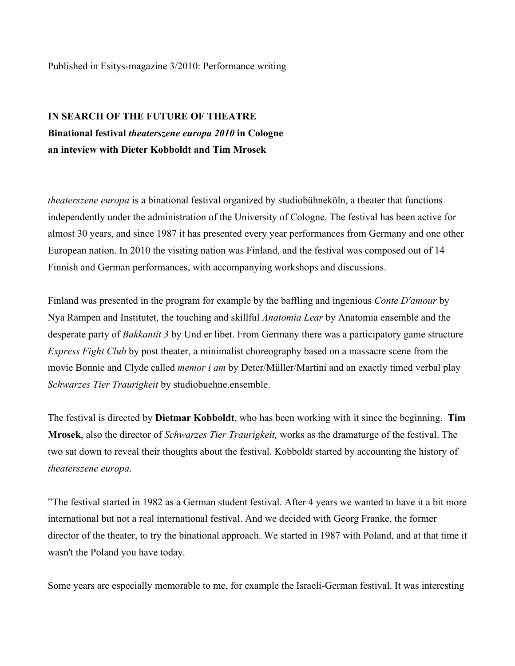Published in Esitys-magazine 3/2010: Performance writing

## **IN SEARCH OF THE FUTURE OF THEATRE Binational festival** *theaterszene europa 2010* **in Cologne an inteview with Dieter Kobboldt and Tim Mrosek**

*theaterszene europa* is a binational festival organized by studiobühneköln, a theater that functions independently under the administration of the University of Cologne. The festival has been active for almost 30 years, and since 1987 it has presented every year performances from Germany and one other European nation. In 2010 the visiting nation was Finland, and the festival was composed out of 14 Finnish and German performances, with accompanying workshops and discussions.

Finland was presented in the program for example by the baffling and ingenious *Conte D'amour* by Nya Rampen and Institutet, the touching and skillful *Anatomia Lear* by Anatomia ensemble and the desperate party of *Bakkantit 3* by Und er libet. From Germany there was a participatory game structure *Express Fight Club* by post theater, a minimalist choreography based on a massacre scene from the movie Bonnie and Clyde called *memor i am* by Deter/Müller/Martini and an exactly timed verbal play *Schwarzes Tier Traurigkeit* by studiobuehne.ensemble.

The festival is directed by **Dietmar Kobboldt**, who has been working with it since the beginning. **Tim Mrosek**, also the director of *Schwarzes Tier Traurigkeit,* works as the dramaturge of the festival. The two sat down to reveal their thoughts about the festival. Kobboldt started by accounting the history of *theaterszene europa*.

"The festival started in 1982 as a German student festival. After 4 years we wanted to have it a bit more international but not a real international festival. And we decided with Georg Franke, the former director of the theater, to try the binational approach. We started in 1987 with Poland, and at that time it wasn't the Poland you have today.

Some years are especially memorable to me, for example the Israeli-German festival. It was interesting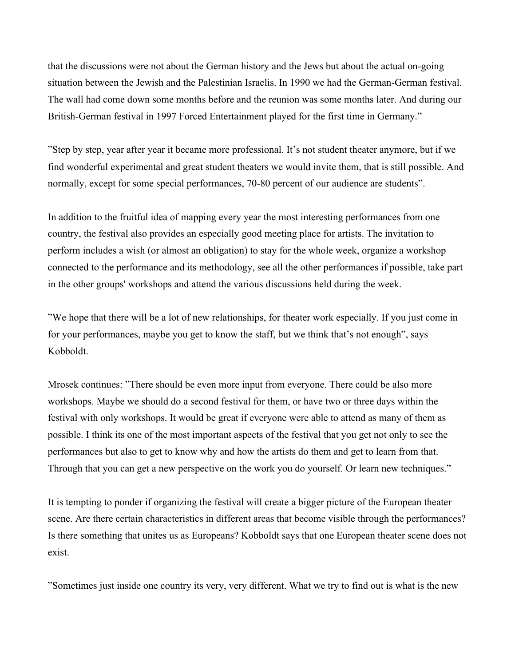that the discussions were not about the German history and the Jews but about the actual on-going situation between the Jewish and the Palestinian Israelis. In 1990 we had the German-German festival. The wall had come down some months before and the reunion was some months later. And during our British-German festival in 1997 Forced Entertainment played for the first time in Germany."

"Step by step, year after year it became more professional. It's not student theater anymore, but if we find wonderful experimental and great student theaters we would invite them, that is still possible. And normally, except for some special performances, 70-80 percent of our audience are students".

In addition to the fruitful idea of mapping every year the most interesting performances from one country, the festival also provides an especially good meeting place for artists. The invitation to perform includes a wish (or almost an obligation) to stay for the whole week, organize a workshop connected to the performance and its methodology, see all the other performances if possible, take part in the other groups' workshops and attend the various discussions held during the week.

"We hope that there will be a lot of new relationships, for theater work especially. If you just come in for your performances, maybe you get to know the staff, but we think that's not enough", says Kobboldt.

Mrosek continues: "There should be even more input from everyone. There could be also more workshops. Maybe we should do a second festival for them, or have two or three days within the festival with only workshops. It would be great if everyone were able to attend as many of them as possible. I think its one of the most important aspects of the festival that you get not only to see the performances but also to get to know why and how the artists do them and get to learn from that. Through that you can get a new perspective on the work you do yourself. Or learn new techniques."

It is tempting to ponder if organizing the festival will create a bigger picture of the European theater scene. Are there certain characteristics in different areas that become visible through the performances? Is there something that unites us as Europeans? Kobboldt says that one European theater scene does not exist.

"Sometimes just inside one country its very, very different. What we try to find out is what is the new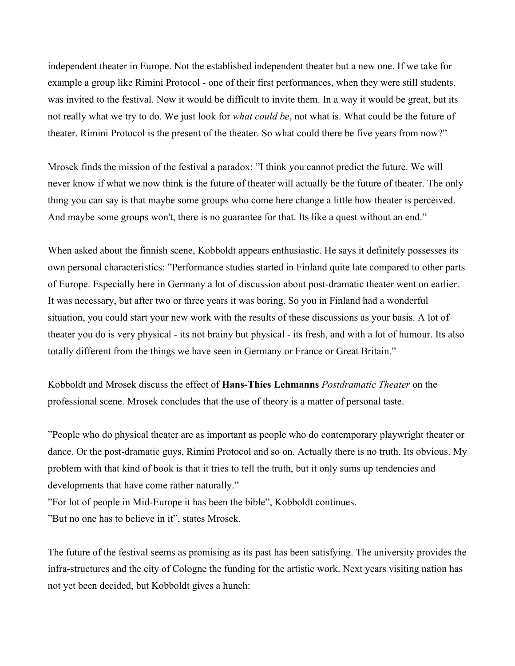independent theater in Europe. Not the established independent theater but a new one. If we take for example a group like Rimini Protocol - one of their first performances, when they were still students, was invited to the festival. Now it would be difficult to invite them. In a way it would be great, but its not really what we try to do. We just look for *what could be*, not what is. What could be the future of theater. Rimini Protocol is the present of the theater. So what could there be five years from now?"

Mrosek finds the mission of the festival a paradox: "I think you cannot predict the future. We will never know if what we now think is the future of theater will actually be the future of theater. The only thing you can say is that maybe some groups who come here change a little how theater is perceived. And maybe some groups won't, there is no guarantee for that. Its like a quest without an end."

When asked about the finnish scene, Kobboldt appears enthusiastic. He says it definitely possesses its own personal characteristics: "Performance studies started in Finland quite late compared to other parts of Europe. Especially here in Germany a lot of discussion about post-dramatic theater went on earlier. It was necessary, but after two or three years it was boring. So you in Finland had a wonderful situation, you could start your new work with the results of these discussions as your basis. A lot of theater you do is very physical - its not brainy but physical - its fresh, and with a lot of humour. Its also totally different from the things we have seen in Germany or France or Great Britain."

Kobboldt and Mrosek discuss the effect of **Hans-Thies Lehmanns** *Postdramatic Theater* on the professional scene. Mrosek concludes that the use of theory is a matter of personal taste.

"People who do physical theater are as important as people who do contemporary playwright theater or dance. Or the post-dramatic guys, Rimini Protocol and so on. Actually there is no truth. Its obvious. My problem with that kind of book is that it tries to tell the truth, but it only sums up tendencies and developments that have come rather naturally."

"For lot of people in Mid-Europe it has been the bible", Kobboldt continues.

"But no one has to believe in it", states Mrosek.

The future of the festival seems as promising as its past has been satisfying. The university provides the infra-structures and the city of Cologne the funding for the artistic work. Next years visiting nation has not yet been decided, but Kobboldt gives a hunch: